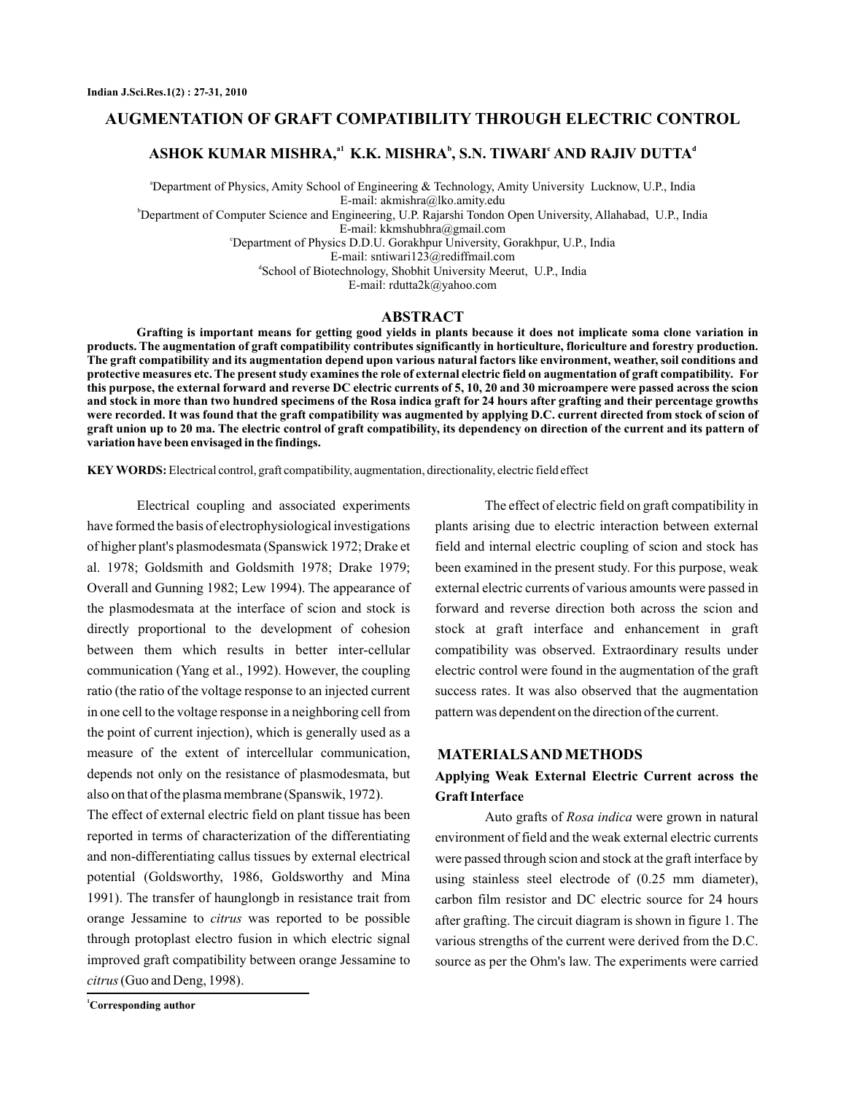## **AUGMENTATION OF GRAFT COMPATIBILITY THROUGH ELECTRIC CONTROL**

# ASHOK KUMAR MISHRA,<sup>a1</sup> K.K. MISHRA<sup>b</sup>, S.N. TIWARI<sup>c</sup> AND RAJIV DUTTA<sup>d</sup>

a Department of Physics, Amity School of Engineering & Technology, Amity University Lucknow, U.P., India E-mail: akmishra@lko.amity.edu

b Department of Computer Science and Engineering, U.P. Rajarshi Tondon Open University, Allahabad, U.P., India

E-mail: kkmshubhra@gmail.com

c Department of Physics D.D.U. Gorakhpur University, Gorakhpur, U.P., India

E-mail: sntiwari123@rediffmail.com

d School of Biotechnology, Shobhit University Meerut, U.P., India E-mail: rdutta2k@yahoo.com

## **ABSTRACT**

**Grafting is important means for getting good yields in plants because it does not implicate soma clone variation in products. The augmentation of graft compatibility contributes significantly in horticulture, floriculture and forestry production. The graft compatibility and its augmentation depend upon various natural factors like environment, weather, soil conditions and protective measures etc. The present study examines the role of external electric field on augmentation of graft compatibility. For this purpose, the external forward and reverse DC electric currents of 5, 10, 20 and 30 microampere were passed across the scion and stock in more than two hundred specimens of the Rosa indica graft for 24 hours after grafting and their percentage growths were recorded. It was found that the graft compatibility was augmented by applying D.C. current directed from stock of scion of graft union up to 20 ma. The electric control of graft compatibility, its dependency on direction of the current and its pattern of variation have been envisaged in the findings.**

**KEY WORDS:** Electrical control, graft compatibility, augmentation, directionality, electric field effect

Electrical coupling and associated experiments have formed the basis of electrophysiological investigations of higher plant's plasmodesmata (Spanswick 1972; Drake et al. 1978; Goldsmith and Goldsmith 1978; Drake 1979; Overall and Gunning 1982; Lew 1994). The appearance of the plasmodesmata at the interface of scion and stock is directly proportional to the development of cohesion between them which results in better inter-cellular communication (Yang et al., 1992). However, the coupling ratio (the ratio of the voltage response to an injected current in one cell to the voltage response in a neighboring cell from the point of current injection), which is generally used as a measure of the extent of intercellular communication, depends not only on the resistance of plasmodesmata, but also on that of the plasma membrane (Spanswik, 1972).

The effect of external electric field on plant tissue has been reported in terms of characterization of the differentiating and non-differentiating callus tissues by external electrical potential (Goldsworthy, 1986, Goldsworthy and Mina 1991). The transfer of haunglongb in resistance trait from orange Jessamine to *citrus* was reported to be possible through protoplast electro fusion in which electric signal improved graft compatibility between orange Jessamine to (Guo and Deng, 1998). *citrus*

The effect of electric field on graft compatibility in plants arising due to electric interaction between external field and internal electric coupling of scion and stock has been examined in the present study. For this purpose, weak external electric currents of various amounts were passed in forward and reverse direction both across the scion and stock at graft interface and enhancement in graft compatibility was observed. Extraordinary results under electric control were found in the augmentation of the graft success rates. It was also observed that the augmentation pattern was dependent on the direction of the current.

### **MATERIALSANDMETHODS**

# **Applying Weak External Electric Current across the Graft Interface**

Auto grafts of Rosa indica were grown in natural environment of field and the weak external electric currents were passed through scion and stock at the graft interface by using stainless steel electrode of (0.25 mm diameter), carbon film resistor and DC electric source for 24 hours after grafting. The circuit diagram is shown in figure 1. The various strengths of the current were derived from the D.C. source as per the Ohm's law. The experiments were carried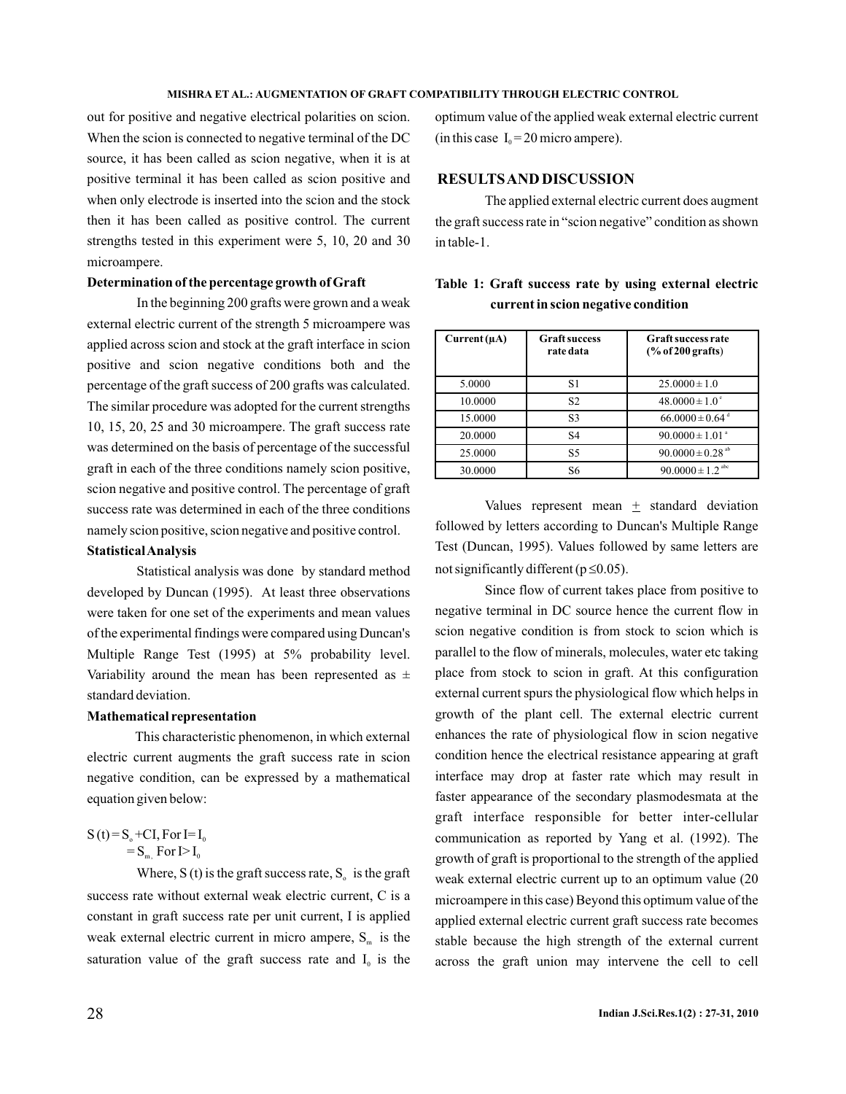out for positive and negative electrical polarities on scion. When the scion is connected to negative terminal of the DC source, it has been called as scion negative, when it is at positive terminal it has been called as scion positive and when only electrode is inserted into the scion and the stock then it has been called as positive control. The current strengths tested in this experiment were 5, 10, 20 and 30 microampere.

### **Determination of the percentage growth of Graft**

In the beginning 200 grafts were grown and a weak external electric current of the strength 5 microampere was applied across scion and stock at the graft interface in scion positive and scion negative conditions both and the percentage of the graft success of 200 grafts was calculated. The similar procedure was adopted for the current strengths 10, 15, 20, 25 and 30 microampere. The graft success rate was determined on the basis of percentage of the successful graft in each of the three conditions namely scion positive, scion negative and positive control. The percentage of graft success rate was determined in each of the three conditions namely scion positive, scion negative and positive control.

### **StatisticalAnalysis**

Statistical analysis was done by standard method developed by Duncan (1995). At least three observations were taken for one set of the experiments and mean values of the experimental findings were compared using Duncan's Multiple Range Test (1995) at 5% probability level. Variability around the mean has been represented as  $\pm$ standard deviation.

### **Mathematical representation**

This characteristic phenomenon, in which external electric current augments the graft success rate in scion negative condition, can be expressed by a mathematical equation given below:

## $S(t) = S_0 + CI$ , For I= I<sub>0</sub>  $=S_{m}$ , For I $>I_0$

Where, S (t) is the graft success rate,  $S_0$  is the graft success rate without external weak electric current, C is a constant in graft success rate per unit current, I is applied weak external electric current in micro ampere,  $S_m$  is the saturation value of the graft success rate and  $I_0$  is the

optimum value of the applied weak external electric current (in this case  $I_0 = 20$  micro ampere).

## **RESULTSAND DISCUSSION**

The applied external electric current does augment the graft success rate in "scion negative" condition as shown in table-1.

|                                     |  |  |  |  |  |  | Table 1: Graft success rate by using external electric |  |
|-------------------------------------|--|--|--|--|--|--|--------------------------------------------------------|--|
| current in scion negative condition |  |  |  |  |  |  |                                                        |  |

| $Current(\mu A)$ | <b>Graft success</b><br>rate data | <b>Graft success rate</b><br>$(\%$ of 200 grafts) |
|------------------|-----------------------------------|---------------------------------------------------|
| 5.0000           | S1                                | $25.0000 \pm 1.0$                                 |
| 10.0000          | S <sub>2</sub>                    | $48.0000 \pm 1.0^{\circ}$                         |
| 15.0000          | S <sub>3</sub>                    | $66.0000 \pm 0.64$ <sup>d</sup>                   |
| 20.0000          | S <sub>4</sub>                    | $90.0000 \pm 1.01$ <sup>a</sup>                   |
| 25,0000          | S <sub>5</sub>                    | 90.0000 ± 0.28 <sup>ab</sup>                      |
| 30.0000          | S6                                | $90.0000 \pm 1.2$ <sup>abc</sup>                  |

Values represent mean  $\pm$  standard deviation followed by letters according to Duncan's Multiple Range Test (Duncan, 1995). Values followed by same letters are not significantly different ( $p \le 0.05$ ).

Since flow of current takes place from positive to negative terminal in DC source hence the current flow in scion negative condition is from stock to scion which is parallel to the flow of minerals, molecules, water etc taking place from stock to scion in graft. At this configuration external current spurs the physiological flow which helps in growth of the plant cell. The external electric current enhances the rate of physiological flow in scion negative condition hence the electrical resistance appearing at graft interface may drop at faster rate which may result in faster appearance of the secondary plasmodesmata at the graft interface responsible for better inter-cellular communication as reported by Yang et al. (1992). The growth of graft is proportional to the strength of the applied weak external electric current up to an optimum value (20 microampere in this case) Beyond this optimum value of the applied external electric current graft success rate becomes stable because the high strength of the external current across the graft union may intervene the cell to cell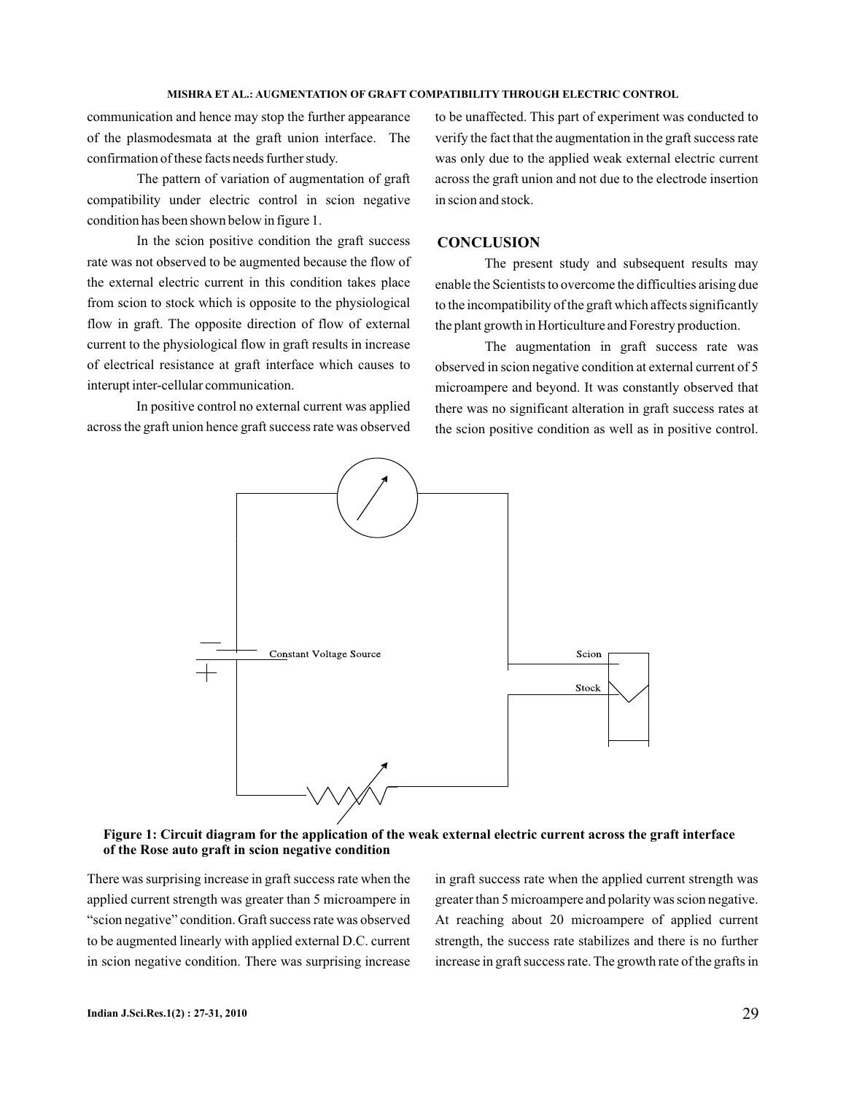communication and hence may stop the further appearance of the plasmodesmata at the graft union interface. The confirmation of these facts needs further study.

The pattern of variation of augmentation of graft compatibility under electric control in scion negative condition has been shown below in figure 1.

In the scion positive condition the graft success rate was not observed to be augmented because the flow of the external electric current in this condition takes place from scion to stock which is opposite to the physiological flow in graft. The opposite direction of flow of external current to the physiological flow in graft results in increase of electrical resistance at graft interface which causes to interupt inter-cellular communication.

In positive control no external current was applied across the graft union hence graft success rate was observed

to be unaffected. This part of experiment was conducted to verify the fact that the augmentation in the graft success rate was only due to the applied weak external electric current across the graft union and not due to the electrode insertion in scion and stock.

### **CONCLUSION**

The present study and subsequent results may enable the Scientists to overcome the difficulties arising due to the incompatibility of the graft which affects significantly the plant growth in Horticulture and Forestry production.

The augmentation in graft success rate was observed in scion negative condition at external current of 5 microampere and beyond. It was constantly observed that there was no significant alteration in graft success rates at the scion positive condition as well as in positive control.



Figure 1: Circuit diagram for the application of the weak external electric current across the graft interface **of the Rose auto graft in scion negative condition**

There was surprising increase in graft success rate when the applied current strength was greater than 5 microampere in "scion negative" condition. Graft success rate was observed to be augmented linearly with applied external D.C. current in scion negative condition. There was surprising increase

in graft success rate when the applied current strength was greater than 5 microampere and polarity was scion negative. At reaching about 20 microampere of applied current strength, the success rate stabilizes and there is no further increase in graft success rate. The growth rate of the grafts in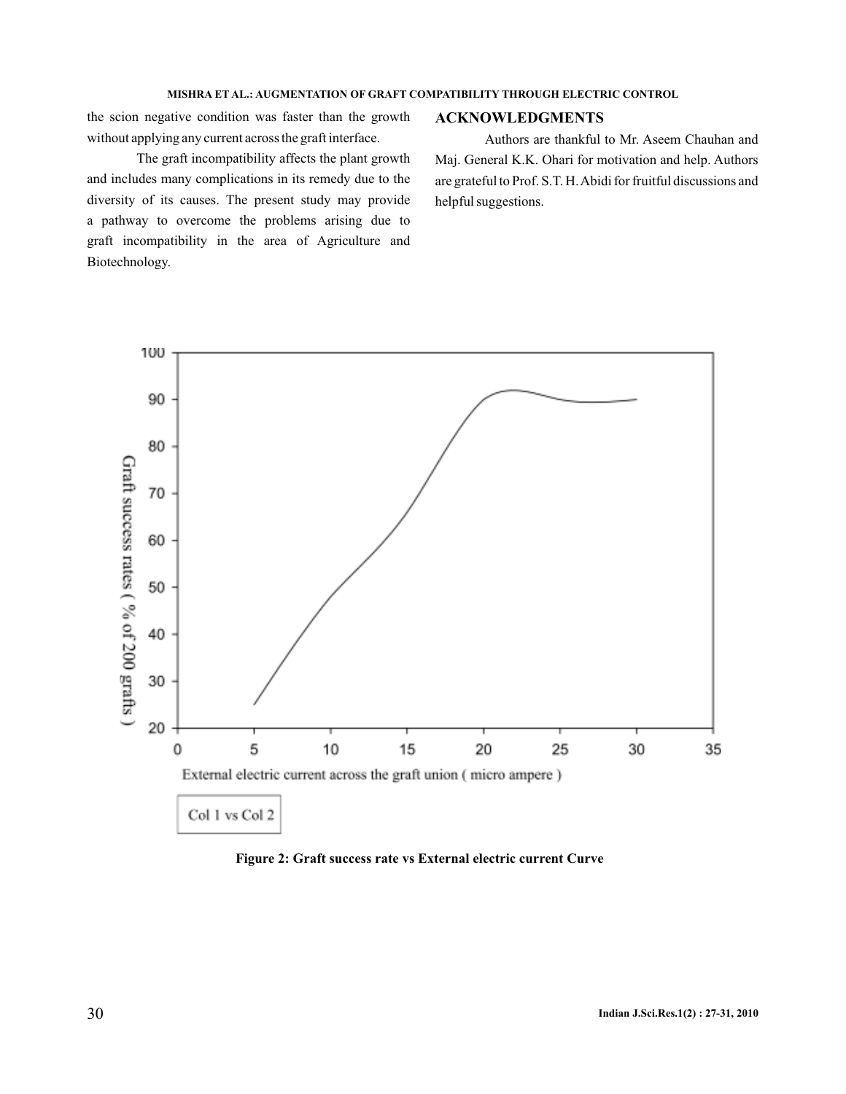the scion negative condition was faster than the growth without applying any current across the graft interface.

graft incompatibility in the area of Agriculture and

Biotechnology.

**ACKNOWLEDGMENTS**

The graft incompatibility affects the plant growth and includes many complications in its remedy due to the diversity of its causes. The present study may provide a pathway to overcome the problems arising due to Authors are thankful to Mr. Aseem Chauhan and Maj. General K.K. Ohari for motivation and help. Authors are grateful to Prof. S.T. H.Abidi for fruitful discussions and helpful suggestions.



**Figure 2: Graft success rate vs External electric current Curve**